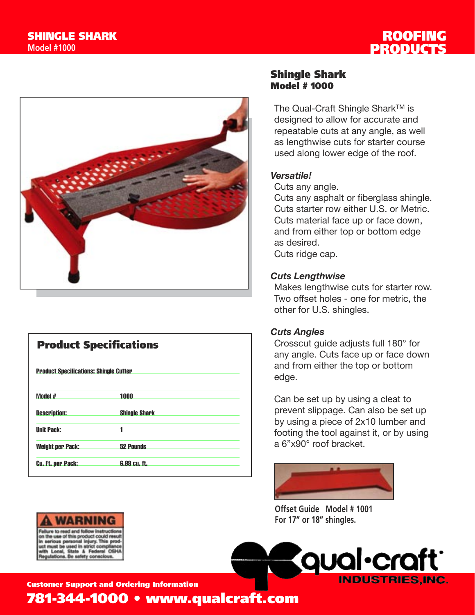



| <b>Product Specifications</b><br><b>Product Specifications: Shingle Cutter</b> |                      |
|--------------------------------------------------------------------------------|----------------------|
|                                                                                |                      |
| <b>Description:</b>                                                            | <b>Shingle Shark</b> |
| <b>Unit Pack:</b>                                                              |                      |
| <b>Weight per Pack:</b>                                                        | <b>52 Pounds</b>     |
| <b>Cu. Ft. per Pack:</b>                                                       | 6.88 cu. ft.         |

### Shingle Shark Model # 1000

The Qual-Craft Shingle Shark™ is designed to allow for accurate and repeatable cuts at any angle, as well as lengthwise cuts for starter course used along lower edge of the roof.

#### *Versatile!*

Cuts any angle.

Cuts any asphalt or fiberglass shingle. Cuts starter row either U.S. or Metric. Cuts material face up or face down, and from either top or bottom edge as desired. Cuts ridge cap.

#### *Cuts Lengthwise*

Makes lengthwise cuts for starter row. Two offset holes - one for metric, the other for U.S. shingles.

#### *Cuts Angles*

Crosscut guide adjusts full 180° for any angle. Cuts face up or face down and from either the top or bottom edge.

Can be set up by using a cleat to prevent slippage. Can also be set up by using a piece of 2x10 lumber and footing the tool against it, or by using a 6"x90° roof bracket.



**Offset Guide Model # 1001 For 17" or 18" shingles.**



wening

Customer Support and Ordering Information

781-344-1000 • www.qualcraft.com